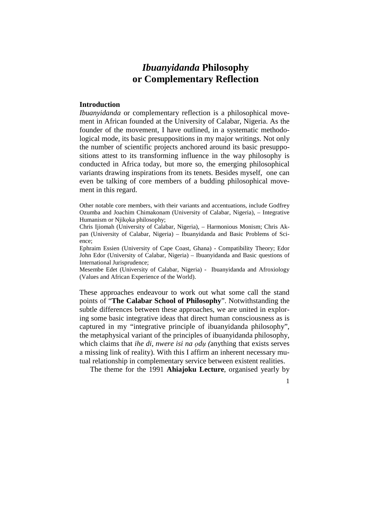# *Ibuanyidanda* **Philosophy or Complementary Reflection**

## **Introduction**

*Ibuanyidanda* or complementary reflection is a philosophical movement in African founded at the University of Calabar, Nigeria. As the founder of the movement, I have outlined, in a systematic methodological mode, its basic presuppositions in my major writings. Not only the number of scientific projects anchored around its basic presuppositions attest to its transforming influence in the way philosophy is conducted in Africa today, but more so, the emerging philosophical variants drawing inspirations from its tenets. Besides myself, one can even be talking of core members of a budding philosophical movement in this regard.

Other notable core members, with their variants and accentuations, include Godfrey Ozumba and Joachim Chimakonam (University of Calabar, Nigeria), – Integrative Humanism or Njikọka philosophy;

Chris Ijiomah (University of Calabar, Nigeria), – Harmonious Monism; Chris Akpan (University of Calabar, Nigeria) – Ibuanyidanda and Basic Problems of Science;

Ephraim Essien (University of Cape Coast, Ghana) - Compatibility Theory; Edor John Edor (University of Calabar, Nigeria) – Ibuanyidanda and Basic questions of International Jurisprudence;

Mesembe Edet (University of Calabar, Nigeria) - Ibuanyidanda and Afroxiology (Values and African Experience of the World).

These approaches endeavour to work out what some call the stand points of "**The Calabar School of Philosophy**". Notwithstanding the subtle differences between these approaches, we are united in exploring some basic integrative ideas that direct human consciousness as is captured in my "integrative principle of ibuanyidanda philosophy", the metaphysical variant of the principles of ibuanyidanda philosophy, which claims that *ihe di, nwere isi na ọdụ (*anything that exists serves a missing link of reality). With this I affirm an inherent necessary mutual relationship in complementary service between existent realities.

The theme for the 1991 **Ahiajoku Lecture**, organised yearly by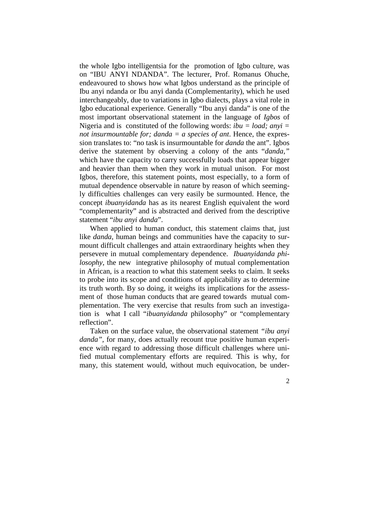the whole Igbo intelligentsia for the promotion of Igbo culture, was on "IBU ANYI NDANDA". The lecturer, Prof. Romanus Ohuche, endeavoured to shows how what Igbos understand as the principle of Ibu anyi ndanda or Ibu anyi danda (Complementarity), which he used interchangeably, due to variations in Igbo dialects, plays a vital role in Igbo educational experience. Generally "Ibu anyi danda" is one of the most important observational statement in the language of *Igbos* of Nigeria and is constituted of the following words: *ibu = load; anyi = not insurmountable for; danda = a species of ant*. Hence, the expression translates to: "no task is insurmountable for *danda* the ant". Igbos derive the statement by observing a colony of the ants "*danda,"*  which have the capacity to carry successfully loads that appear bigger and heavier than them when they work in mutual unison. For most Igbos, therefore, this statement points, most especially, to a form of mutual dependence observable in nature by reason of which seemingly difficulties challenges can very easily be surmounted. Hence, the concept *ibuanyidanda* has as its nearest English equivalent the word "complementarity" and is abstracted and derived from the descriptive statement "*ibu anyi danda*".

When applied to human conduct, this statement claims that, just like *danda*, human beings and communities have the capacity to surmount difficult challenges and attain extraordinary heights when they persevere in mutual complementary dependence. *Ibuanyidanda philosophy*, the new integrative philosophy of mutual complementation in African, is a reaction to what this statement seeks to claim. It seeks to probe into its scope and conditions of applicability as to determine its truth worth. By so doing, it weighs its implications for the assessment of those human conducts that are geared towards mutual complementation. The very exercise that results from such an investigation is what I call "*ibuanyidanda* philosophy" or "complementary reflection".

Taken on the surface value, the observational statement *"ibu anyi danda",* for many*,* does actually recount true positive human experience with regard to addressing those difficult challenges where unified mutual complementary efforts are required. This is why, for many, this statement would, without much equivocation, be under-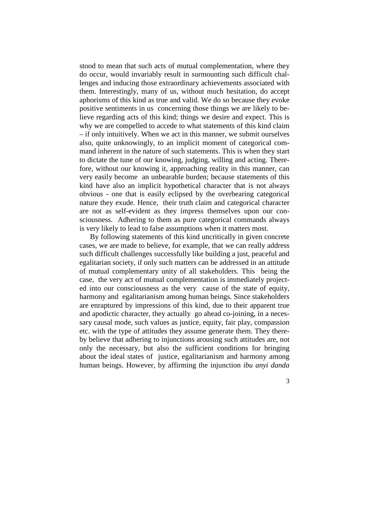stood to mean that such acts of mutual complementation, where they do occur, would invariably result in surmounting such difficult challenges and inducing those extraordinary achievements associated with them. Interestingly, many of us, without much hesitation, do accept aphorisms of this kind as true and valid. We do so because they evoke positive sentiments in us concerning those things we are likely to believe regarding acts of this kind; things we desire and expect. This is why we are compelled to accede to what statements of this kind claim – if only intuitively. When we act in this manner, we submit ourselves also, quite unknowingly, to an implicit moment of categorical command inherent in the nature of such statements. This is when they start to dictate the tune of our knowing, judging, willing and acting. Therefore, without our knowing it, approaching reality in this manner, can very easily become an unbearable burden; because statements of this kind have also an implicit hypothetical character that is not always obvious - one that is easily eclipsed by the overbearing categorical nature they exude. Hence, their truth claim and categorical character are not as self-evident as they impress themselves upon our consciousness. Adhering to them as pure categorical commands always is very likely to lead to false assumptions when it matters most.

By following statements of this kind uncritically in given concrete cases, we are made to believe, for example, that we can really address such difficult challenges successfully like building a just, peaceful and egalitarian society, if only such matters can be addressed in an attitude of mutual complementary unity of all stakeholders. This being the case, the very act of mutual complementation is immediately projected into our consciousness as the very cause of the state of equity, harmony and egalitarianism among human beings. Since stakeholders are enraptured by impressions of this kind, due to their apparent true and apodictic character, they actually go ahead co-joining, in a necessary causal mode, such values as justice, equity, fair play, compassion etc. with the type of attitudes they assume generate them. They thereby believe that adhering to injunctions arousing such attitudes are, not only the necessary, but also the sufficient conditions for bringing about the ideal states of justice, egalitarianism and harmony among human beings. However, by affirming the injunction *ibu anyi danda*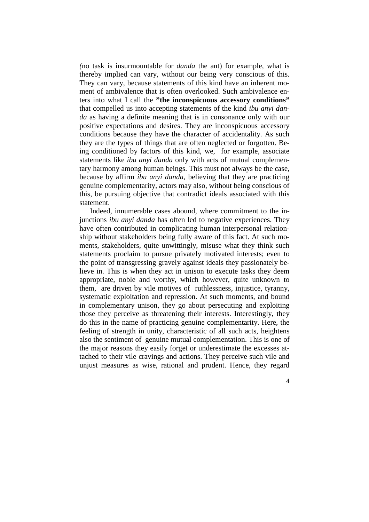*(*no task is insurmountable for *danda* the ant) for example, what is thereby implied can vary, without our being very conscious of this. They can vary, because statements of this kind have an inherent moment of ambivalence that is often overlooked. Such ambivalence enters into what I call the **"the inconspicuous accessory conditions"** that compelled us into accepting statements of the kind *ibu anyi danda* as having a definite meaning that is in consonance only with our positive expectations and desires. They are inconspicuous accessory conditions because they have the character of accidentality. As such they are the types of things that are often neglected or forgotten. Being conditioned by factors of this kind, we, for example, associate statements like *ibu anyi danda* only with acts of mutual complementary harmony among human beings. This must not always be the case, because by affirm *ibu anyi danda*, believing that they are practicing genuine complementarity, actors may also, without being conscious of this, be pursuing objective that contradict ideals associated with this statement.

Indeed, innumerable cases abound, where commitment to the injunctions *ibu anyi danda* has often led to negative experiences. They have often contributed in complicating human interpersonal relationship without stakeholders being fully aware of this fact. At such moments, stakeholders, quite unwittingly, misuse what they think such statements proclaim to pursue privately motivated interests; even to the point of transgressing gravely against ideals they passionately believe in. This is when they act in unison to execute tasks they deem appropriate, noble and worthy, which however, quite unknown to them, are driven by vile motives of ruthlessness, injustice, tyranny, systematic exploitation and repression. At such moments, and bound in complementary unison, they go about persecuting and exploiting those they perceive as threatening their interests. Interestingly, they do this in the name of practicing genuine complementarity. Here, the feeling of strength in unity, characteristic of all such acts, heightens also the sentiment of genuine mutual complementation. This is one of the major reasons they easily forget or underestimate the excesses attached to their vile cravings and actions. They perceive such vile and unjust measures as wise, rational and prudent. Hence, they regard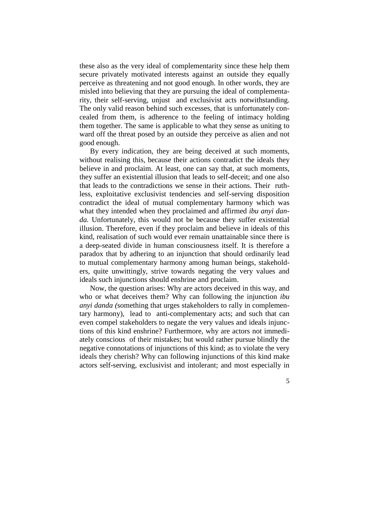these also as the very ideal of complementarity since these help them secure privately motivated interests against an outside they equally perceive as threatening and not good enough. In other words, they are misled into believing that they are pursuing the ideal of complementarity, their self-serving, unjust and exclusivist acts notwithstanding. The only valid reason behind such excesses, that is unfortunately concealed from them, is adherence to the feeling of intimacy holding them together. The same is applicable to what they sense as uniting to ward off the threat posed by an outside they perceive as alien and not good enough.

By every indication, they are being deceived at such moments, without realising this, because their actions contradict the ideals they believe in and proclaim. At least, one can say that, at such moments, they suffer an existential illusion that leads to self-deceit; and one also that leads to the contradictions we sense in their actions. Their ruthless, exploitative exclusivist tendencies and self-serving disposition contradict the ideal of mutual complementary harmony which was what they intended when they proclaimed and affirmed *ibu anyi danda.* Unfortunately, this would not be because they suffer existential illusion. Therefore, even if they proclaim and believe in ideals of this kind, realisation of such would ever remain unattainable since there is a deep-seated divide in human consciousness itself. It is therefore a paradox that by adhering to an injunction that should ordinarily lead to mutual complementary harmony among human beings, stakeholders, quite unwittingly, strive towards negating the very values and ideals such injunctions should enshrine and proclaim.

Now, the question arises: Why are actors deceived in this way, and who or what deceives them? Why can following the injunction *ibu anyi danda (*something that urges stakeholders to rally in complementary harmony), lead to anti-complementary acts; and such that can even compel stakeholders to negate the very values and ideals injunctions of this kind enshrine? Furthermore, why are actors not immediately conscious of their mistakes; but would rather pursue blindly the negative connotations of injunctions of this kind; as to violate the very ideals they cherish? Why can following injunctions of this kind make actors self-serving, exclusivist and intolerant; and most especially in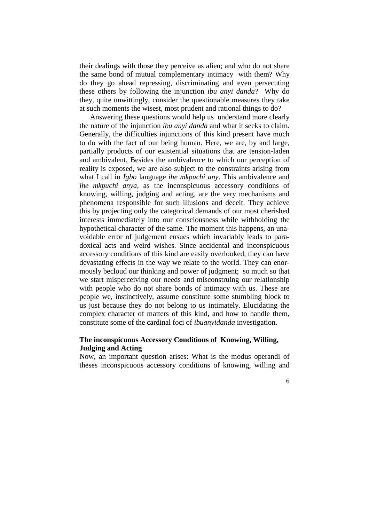their dealings with those they perceive as alien; and who do not share the same bond of mutual complementary intimacy with them? Why do they go ahead repressing, discriminating and even persecuting these others by following the injunction *ibu anyi danda*? Why do they, quite unwittingly, consider the questionable measures they take at such moments the wisest, most prudent and rational things to do?

Answering these questions would help us understand more clearly the nature of the injunction *ibu anyi danda* and what it seeks to claim. Generally, the difficulties injunctions of this kind present have much to do with the fact of our being human. Here, we are, by and large, partially products of our existential situations that are tension-laden and ambivalent. Besides the ambivalence to which our perception of reality is exposed, we are also subject to the constraints arising from what I call in *Igbo* language *ihe mkpuchi any*. This ambivalence and *ihe mkpuchi anya,* as the inconspicuous accessory conditions of knowing, willing, judging and acting, are the very mechanisms and phenomena responsible for such illusions and deceit. They achieve this by projecting only the categorical demands of our most cherished interests immediately into our consciousness while withholding the hypothetical character of the same. The moment this happens, an unavoidable error of judgement ensues which invariably leads to paradoxical acts and weird wishes. Since accidental and inconspicuous accessory conditions of this kind are easily overlooked, they can have devastating effects in the way we relate to the world. They can enormously becloud our thinking and power of judgment; so much so that we start misperceiving our needs and misconstruing our relationship with people who do not share bonds of intimacy with us. These are people we, instinctively, assume constitute some stumbling block to us just because they do not belong to us intimately. Elucidating the complex character of matters of this kind, and how to handle them, constitute some of the cardinal foci of *ibuanyidanda* investigation.

# **The inconspicuous Accessory Conditions of Knowing, Willing, Judging and Acting**

Now, an important question arises: What is the modus operandi of theses inconspicuous accessory conditions of knowing, willing and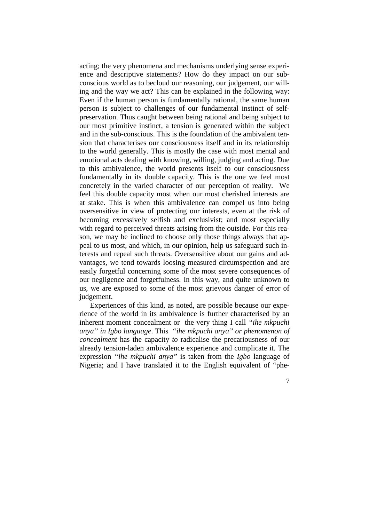acting; the very phenomena and mechanisms underlying sense experience and descriptive statements? How do they impact on our subconscious world as to becloud our reasoning, our judgement, our willing and the way we act? This can be explained in the following way: Even if the human person is fundamentally rational, the same human person is subject to challenges of our fundamental instinct of selfpreservation. Thus caught between being rational and being subject to our most primitive instinct, a tension is generated within the subject and in the sub-conscious. This is the foundation of the ambivalent tension that characterises our consciousness itself and in its relationship to the world generally. This is mostly the case with most mental and emotional acts dealing with knowing, willing, judging and acting. Due to this ambivalence, the world presents itself to our consciousness fundamentally in its double capacity. This is the one we feel most concretely in the varied character of our perception of reality. We feel this double capacity most when our most cherished interests are at stake. This is when this ambivalence can compel us into being oversensitive in view of protecting our interests, even at the risk of becoming excessively selfish and exclusivist; and most especially with regard to perceived threats arising from the outside. For this reason, we may be inclined to choose only those things always that appeal to us most, and which, in our opinion, help us safeguard such interests and repeal such threats. Oversensitive about our gains and advantages, we tend towards loosing measured circumspection and are easily forgetful concerning some of the most severe consequences of our negligence and forgetfulness. In this way, and quite unknown to us, we are exposed to some of the most grievous danger of error of judgement.

Experiences of this kind, as noted, are possible because our experience of the world in its ambivalence is further characterised by an inherent moment concealment or the very thing I call *"ihe mkpuchi anya" in Igbo language*. This *"ihe mkpuchi anya" or phenomenon of concealment* has the capacity *to* radicalise the precariousness of our already tension-laden ambivalence experience and complicate it. The expression *"ihe mkpuchi anya"* is taken from the *Igbo* language of Nigeria; and I have translated it to the English equivalent of "phe-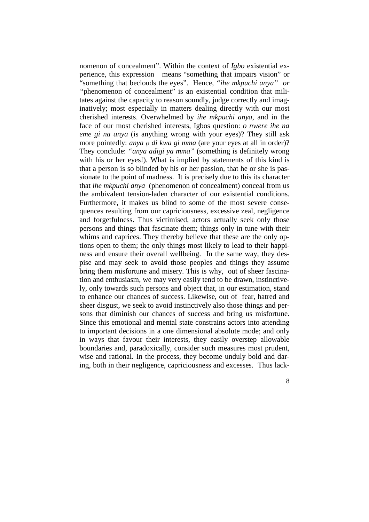nomenon of concealment". Within the context of *Igbo* existential experience, this expression means "something that impairs vision" or "something that beclouds the eyes". Hence, *"ihe mkpuchi anya" or "*phenomenon of concealment" is an existential condition that militates against the capacity to reason soundly, judge correctly and imaginatively; most especially in matters dealing directly with our most cherished interests. Overwhelmed by *ihe mkpuchi anya*, and in the face of our most cherished interests, Igbos question: *o nwere ihe na eme gi na anya* (is anything wrong with your eyes)? They still ask more pointedly: *anya o di kwa gi mma* (are your eyes at all in order)? They conclude: *"anya adigi ya mma"* (something is definitely wrong with his or her eyes!). What is implied by statements of this kind is that a person is so blinded by his or her passion, that he or she is passionate to the point of madness. It is precisely due to this its character that *ihe mkpuchi anya* (phenomenon of concealment) conceal from us the ambivalent tension-laden character of our existential conditions. Furthermore, it makes us blind to some of the most severe consequences resulting from our capriciousness, excessive zeal, negligence and forgetfulness. Thus victimised, actors actually seek only those persons and things that fascinate them; things only in tune with their whims and caprices. They thereby believe that these are the only options open to them; the only things most likely to lead to their happiness and ensure their overall wellbeing. In the same way, they despise and may seek to avoid those peoples and things they assume bring them misfortune and misery. This is why, out of sheer fascination and enthusiasm, we may very easily tend to be drawn, instinctively, only towards such persons and object that, in our estimation, stand to enhance our chances of success. Likewise, out of fear, hatred and sheer disgust, we seek to avoid instinctively also those things and persons that diminish our chances of success and bring us misfortune. Since this emotional and mental state constrains actors into attending to important decisions in a one dimensional absolute mode; and only in ways that favour their interests, they easily overstep allowable boundaries and, paradoxically, consider such measures most prudent, wise and rational. In the process, they become unduly bold and daring, both in their negligence, capriciousness and excesses. Thus lack-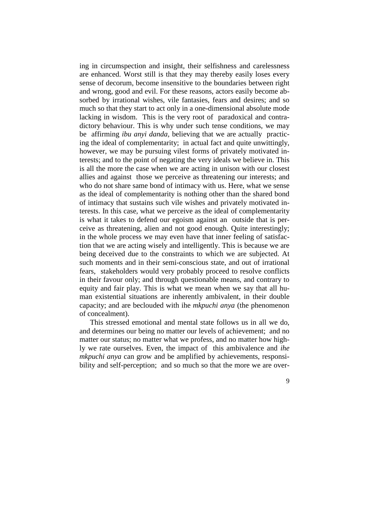ing in circumspection and insight, their selfishness and carelessness are enhanced. Worst still is that they may thereby easily loses every sense of decorum, become insensitive to the boundaries between right and wrong, good and evil. For these reasons, actors easily become absorbed by irrational wishes, vile fantasies, fears and desires; and so much so that they start to act only in a one-dimensional absolute mode lacking in wisdom. This is the very root of paradoxical and contradictory behaviour. This is why under such tense conditions, we may be affirming *ibu anyi danda,* believing that we are actually practicing the ideal of complementarity; in actual fact and quite unwittingly, however, we may be pursuing vilest forms of privately motivated interests; and to the point of negating the very ideals we believe in. This is all the more the case when we are acting in unison with our closest allies and against those we perceive as threatening our interests; and who do not share same bond of intimacy with us. Here, what we sense as the ideal of complementarity is nothing other than the shared bond of intimacy that sustains such vile wishes and privately motivated interests. In this case, what we perceive as the ideal of complementarity is what it takes to defend our egoism against an outside that is perceive as threatening, alien and not good enough. Quite interestingly; in the whole process we may even have that inner feeling of satisfaction that we are acting wisely and intelligently. This is because we are being deceived due to the constraints to which we are subjected. At such moments and in their semi-conscious state, and out of irrational fears, stakeholders would very probably proceed to resolve conflicts in their favour only; and through questionable means, and contrary to equity and fair play. This is what we mean when we say that all human existential situations are inherently ambivalent, in their double capacity; and are beclouded with ihe *mkpuchi anya* (the phenomenon of concealment).

This stressed emotional and mental state follows us in all we do, and determines our being no matter our levels of achievement; and no matter our status; no matter what we profess, and no matter how highly we rate ourselves. Even, the impact of this ambivalence and *ihe mkpuchi anya* can grow and be amplified by achievements, responsibility and self-perception; and so much so that the more we are over-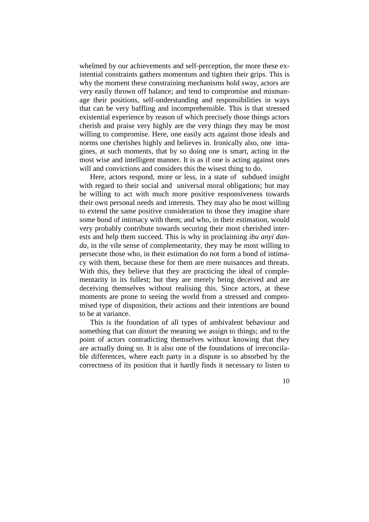whelmed by our achievements and self-perception, the more these existential constraints gathers momentum and tighten their grips. This is why the moment these constraining mechanisms hold sway, actors are very easily thrown off balance; and tend to compromise and mismanage their positions, self-understanding and responsibilities in ways that can be very baffling and incomprehensible. This is that stressed existential experience by reason of which precisely those things actors cherish and praise very highly are the very things they may be most willing to compromise. Here, one easily acts against those ideals and norms one cherishes highly and believes in. Ironically also, one imagines, at such moments, that by so doing one is smart, acting in the most wise and intelligent manner. It is as if one is acting against ones will and convictions and considers this the wisest thing to do.

Here, actors respond, more or less, in a state of subdued insight with regard to their social and universal moral obligations; but may be willing to act with much more positive responsiveness towards their own personal needs and interests. They may also be most willing to extend the same positive consideration to those they imagine share some bond of intimacy with them; and who, in their estimation, would very probably contribute towards securing their most cherished interests and help them succeed. This is why in proclaiming *ibu anyi danda*, in the vile sense of complementarity, they may be most willing to persecute those who, in their estimation do not form a bond of intimacy with them, because these for them are mere nuisances and threats. With this, they believe that they are practicing the ideal of complementarity in its fullest; but they are merely being deceived and are deceiving themselves without realising this. Since actors, at these moments are prone to seeing the world from a stressed and compromised type of disposition, their actions and their intentions are bound to be at variance.

This is the foundation of all types of ambivalent behaviour and something that can distort the meaning we assign to things; and to the point of actors contradicting themselves without knowing that they are actually doing so. It is also one of the foundations of irreconcilable differences, where each party in a dispute is so absorbed by the correctness of its position that it hardly finds it necessary to listen to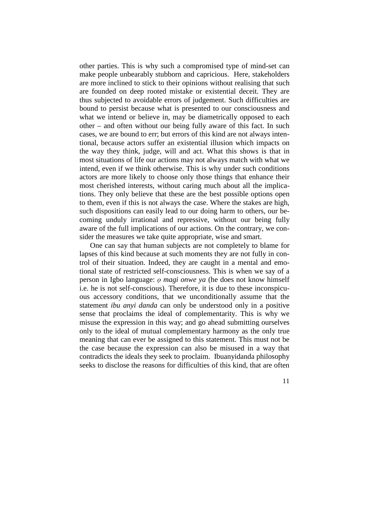other parties. This is why such a compromised type of mind-set can make people unbearably stubborn and capricious. Here, stakeholders are more inclined to stick to their opinions without realising that such are founded on deep rooted mistake or existential deceit. They are thus subjected to avoidable errors of judgement. Such difficulties are bound to persist because what is presented to our consciousness and what we intend or believe in, may be diametrically opposed to each other – and often without our being fully aware of this fact. In such cases, we are bound to err; but errors of this kind are not always intentional, because actors suffer an existential illusion which impacts on the way they think, judge, will and act. What this shows is that in most situations of life our actions may not always match with what we intend, even if we think otherwise. This is why under such conditions actors are more likely to choose only those things that enhance their most cherished interests, without caring much about all the implications. They only believe that these are the best possible options open to them, even if this is not always the case. Where the stakes are high, such dispositions can easily lead to our doing harm to others, our becoming unduly irrational and repressive, without our being fully aware of the full implications of our actions. On the contrary, we consider the measures we take quite appropriate, wise and smart.

One can say that human subjects are not completely to blame for lapses of this kind because at such moments they are not fully in control of their situation. Indeed, they are caught in a mental and emotional state of restricted self-consciousness. This is when we say of a person in Igbo language: *ọ magi onwe ya* (he does not know himself i.e. he is not self-conscious). Therefore, it is due to these inconspicuous accessory conditions, that we unconditionally assume that the statement *ibu anyi danda* can only be understood only in a positive sense that proclaims the ideal of complementarity. This is why we misuse the expression in this way; and go ahead submitting ourselves only to the ideal of mutual complementary harmony as the only true meaning that can ever be assigned to this statement. This must not be the case because the expression can also be misused in a way that contradicts the ideals they seek to proclaim. Ibuanyidanda philosophy seeks to disclose the reasons for difficulties of this kind, that are often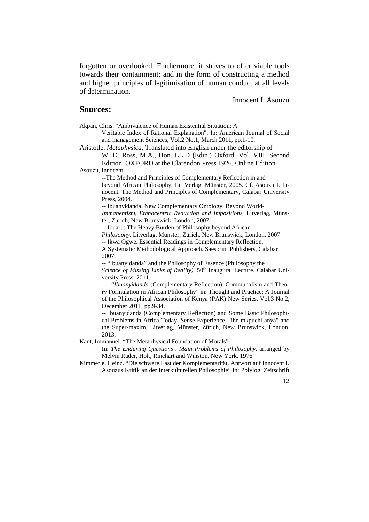forgotten or overlooked. Furthermore, it strives to offer viable tools towards their containment; and in the form of constructing a method and higher principles of legitimisation of human conduct at all levels of determination.

Innocent I. Asouzu

#### **Sources:**

Akpan, Chris. "Ambivalence of Human Existential Situation: A

Veritable Index of Rational Explanation". In: American Journal of Social and management Sciences, Vol.2 No.1, March 2011, pp.1-10.

Aristotle. *Metaphysica*, Translated into English under the editorship of W. D. Ross, M.A., Hon. LL.D (Edin.) Oxford. Vol. VIII, Second

Edition, OXFORD at the Clarendon Press 1926. Online Edition. Asouzu, Innocent.

> --The Method and Principles of Complementary Reflection in and beyond African Philosophy, Lit Verlag, Münster, 2005. Cf. Asouzu I. Innocent. The Method and Principles of Complementary, Calabar University Press, 2004.

> -- Ibuanyidanda. New Complementary Ontology. Beyond World-*Immanentism, Ethnocentric Reduction and Impositions.* Litverlag, Münster, Zurich, New Brunswick, London, 2007.

-- Ibuarụ: The Heavy Burden of Philosophy beyond African *Philosophy.* Litverlag, Münster, Zürich, New Brunswick, London, 2007.

-- Ikwa Ogwe. Essential Readings in Complementary Reflection.

A Systematic Methodological Approach. Saesprint Publishers, Calabar 2007.

-- "Ibuanyidanda" and the Philosophy of Essence (Philosophy the Science of Missing Links of Reality). 50<sup>th</sup> Inaugural Lecture. Calabar University Press, 2011.

-- "*Ibuanyidanda* (Complementary Reflection), Communalism and Theory Formulation in African Philosophy" in: Thought and Practice: A Journal of the Philosophical Association of Kenya (PAK) New Series, Vol.3 No.2, December 2011, pp.9-34.

-- Ibuanyidanda (Complementary Reflection) and Some Basic Philosophical Problems in Africa Today. Sense Experience, "ihe mkpuchi anya" and the Super-maxim. Litverlag, Münster, Zürich, New Brunswick, London, 2013.

Kant, Immanuel. "The Metaphysical Foundation of Morals".

In: *The Enduring Questions . Main Problems of Philosophy*, arranged by Melvin Rader, Holt, Rinehart and Winston, New York, 1976.

Kimmerle, Heinz. "Die schwere Last der Komplementarität. Antwort auf Innocent I. Asouzus Kritik an der interkulturellen Philosophie" in: Polylog. Zeitschrift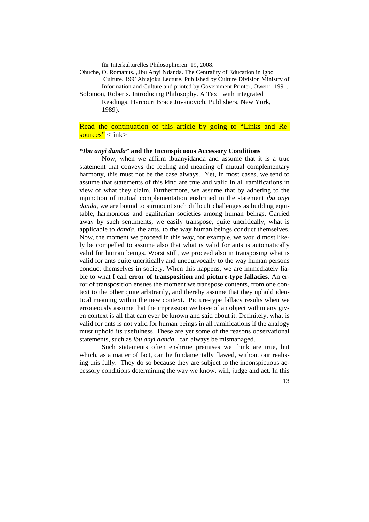für Interkulturelles Philosophieren. 19, 2008.

Ohuche, O. Romanus. "Ibu Anyi Ndanda. The Centrality of Education in Igbo Culture. 1991Ahiajoku Lecture. Published by Culture Division Ministry of Information and Culture and printed by Government Printer, Owerri, 1991. Solomon, Roberts. Introducing Philosophy. A Text with integrated

Readings. Harcourt Brace Jovanovich, Publishers, New York, 1989).

# Read the continuation of this article by going to "Links and Resources" <link>

#### *"Ibu anyi danda"* **and the Inconspicuous Accessory Conditions**

Now, when we affirm ibuanyidanda and assume that it is a true statement that conveys the feeling and meaning of mutual complementary harmony, this must not be the case always. Yet, in most cases, we tend to assume that statements of this kind are true and valid in all ramifications in view of what they claim. Furthermore, we assume that by adhering to the injunction of mutual complementation enshrined in the statement *ibu anyi danda*, we are bound to surmount such difficult challenges as building equitable, harmonious and egalitarian societies among human beings. Carried away by such sentiments, we easily transpose, quite uncritically, what is applicable to *danda*, the ants, to the way human beings conduct themselves. Now, the moment we proceed in this way, for example, we would most likely be compelled to assume also that what is valid for ants is automatically valid for human beings. Worst still, we proceed also in transposing what is valid for ants quite uncritically and unequivocally to the way human persons conduct themselves in society. When this happens, we are immediately liable to what I call **error of transposition** and **picture-type fallacies**. An error of transposition ensues the moment we transpose contents, from one context to the other quite arbitrarily, and thereby assume that they uphold identical meaning within the new context. Picture-type fallacy results when we erroneously assume that the impression we have of an object within any given context is all that can ever be known and said about it. Definitely, what is valid for ants is not valid for human beings in all ramifications if the analogy must uphold its usefulness. These are yet some of the reasons observational statements, such as *ibu anyi danda,* can always be mismanaged.

Such statements often enshrine premises we think are true, but which, as a matter of fact, can be fundamentally flawed, without our realising this fully. They do so because they are subject to the inconspicuous accessory conditions determining the way we know, will, judge and act. In this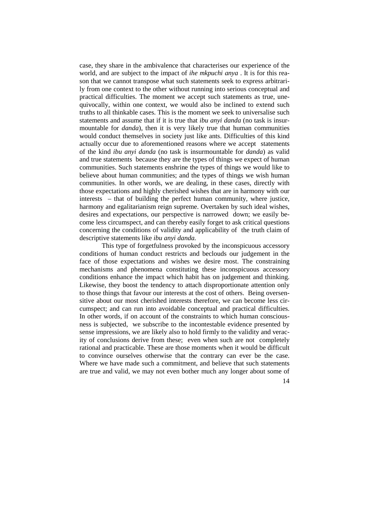case, they share in the ambivalence that characterises our experience of the world, and are subject to the impact of *ihe mkpuchi anya* . It is for this reason that we cannot transpose what such statements seek to express arbitrarily from one context to the other without running into serious conceptual and practical difficulties. The moment we accept such statements as true, unequivocally, within one context, we would also be inclined to extend such truths to all thinkable cases. This is the moment we seek to universalise such statements and assume that if it is true that *ibu anyi danda* (no task is insurmountable for *danda*), then it is very likely true that human communities would conduct themselves in society just like ants. Difficulties of this kind actually occur due to aforementioned reasons where we accept statements of the kind *ibu anyi danda* (no task is insurmountable for *danda*) as valid and true statements because they are the types of things we expect of human communities. Such statements enshrine the types of things we would like to believe about human communities; and the types of things we wish human communities. In other words, we are dealing, in these cases, directly with those expectations and highly cherished wishes that are in harmony with our interests – that of building the perfect human community, where justice, harmony and egalitarianism reign supreme. Overtaken by such ideal wishes, desires and expectations, our perspective is narrowed down; we easily become less circumspect, and can thereby easily forget to ask critical questions concerning the conditions of validity and applicability of the truth claim of descriptive statements like *ibu anyi danda.*

This type of forgetfulness provoked by the inconspicuous accessory conditions of human conduct restricts and beclouds our judgement in the face of those expectations and wishes we desire most. The constraining mechanisms and phenomena constituting these inconspicuous accessory conditions enhance the impact which habit has on judgement and thinking. Likewise, they boost the tendency to attach disproportionate attention only to those things that favour our interests at the cost of others. Being oversensitive about our most cherished interests therefore, we can become less circumspect; and can run into avoidable conceptual and practical difficulties. In other words, if on account of the constraints to which human consciousness is subjected, we subscribe to the incontestable evidence presented by sense impressions, we are likely also to hold firmly to the validity and veracity of conclusions derive from these; even when such are not completely rational and practicable. These are those moments when it would be difficult to convince ourselves otherwise that the contrary can ever be the case. Where we have made such a commitment, and believe that such statements are true and valid, we may not even bother much any longer about some of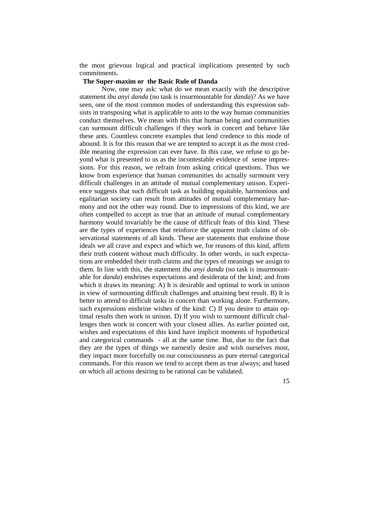the most grievous logical and practical implications presented by such commitments.

#### **The Super-maxim or the Basic Rule of Danda**

Now, one may ask: what do we mean exactly with the descriptive statement *ibu anyi danda* (no task is insurmountable for *danda*)? As we have seen, one of the most common modes of understanding this expression subsists in transposing what is applicable to ants to the way human communities conduct themselves. We mean with this that human being and communities can surmount difficult challenges if they work in concert and behave like these ants. Countless concrete examples that lend credence to this mode of abound. It is for this reason that we are tempted to accept it as the most credible meaning the expression can ever have. In this case, we refuse to go beyond what is presented to us as the incontestable evidence of sense impressions. For this reason, we refrain from asking critical questions. Thus we know from experience that human communities do actually surmount very difficult challenges in an attitude of mutual complementary unison. Experience suggests that such difficult task as building equitable, harmonious and egalitarian society can result from attitudes of mutual complementary harmony and not the other way round. Due to impressions of this kind, we are often compelled to accept as true that an attitude of mutual complementary harmony would invariably be the cause of difficult feats of this kind. These are the types of experiences that reinforce the apparent truth claims of observational statements of all kinds. These are statements that enshrine those ideals we all crave and expect and which we, for reasons of this kind, affirm their truth content without much difficulty. In other words, in such expectations are embedded their truth claims and the types of meanings we assign to them. In line with this, the statement *ibu anyi danda* (no task is insurmountable for *danda*) enshrines expectations and desiderata of the kind; and from which it draws its meaning: A) It is desirable and optimal to work in unison in view of surmounting difficult challenges and attaining best result. B) It is better to attend to difficult tasks in concert than working alone. Furthermore, such expressions enshrine wishes of the kind: C) If you desire to attain optimal results then work in unison. D) If you wish to surmount difficult challenges then work in concert with your closest allies. As earlier pointed out, wishes and expectations of this kind have implicit moments of hypothetical and categorical commands - all at the same time. But, due to the fact that they are the types of things we earnestly desire and wish ourselves most, they impact more forcefully on our consciousness as pure eternal categorical commands. For this reason we tend to accept them as true always; and based on which all actions desiring to be rational can be validated.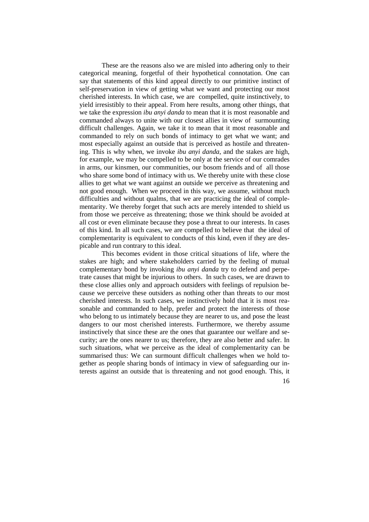These are the reasons also we are misled into adhering only to their categorical meaning, forgetful of their hypothetical connotation. One can say that statements of this kind appeal directly to our primitive instinct of self-preservation in view of getting what we want and protecting our most cherished interests. In which case, we are compelled, quite instinctively, to yield irresistibly to their appeal. From here results, among other things, that we take the expression *ibu anyi danda* to mean that it is most reasonable and commanded always to unite with our closest allies in view of surmounting difficult challenges. Again, we take it to mean that it most reasonable and commanded to rely on such bonds of intimacy to get what we want; and most especially against an outside that is perceived as hostile and threatening. This is why when, we invoke *ibu anyi danda*, and the stakes are high, for example, we may be compelled to be only at the service of our comrades in arms, our kinsmen, our communities, our bosom friends and of all those who share some bond of intimacy with us. We thereby unite with these close allies to get what we want against an outside we perceive as threatening and not good enough. When we proceed in this way, we assume, without much difficulties and without qualms, that we are practicing the ideal of complementarity. We thereby forget that such acts are merely intended to shield us from those we perceive as threatening; those we think should be avoided at all cost or even eliminate because they pose a threat to our interests. In cases of this kind. In all such cases, we are compelled to believe that the ideal of complementarity is equivalent to conducts of this kind, even if they are despicable and run contrary to this ideal.

This becomes evident in those critical situations of life, where the stakes are high; and where stakeholders carried by the feeling of mutual complementary bond by invoking *ibu anyi danda* try to defend and perpetrate causes that might be injurious to others. In such cases, we are drawn to these close allies only and approach outsiders with feelings of repulsion because we perceive these outsiders as nothing other than threats to our most cherished interests. In such cases, we instinctively hold that it is most reasonable and commanded to help, prefer and protect the interests of those who belong to us intimately because they are nearer to us, and pose the least dangers to our most cherished interests. Furthermore, we thereby assume instinctively that since these are the ones that guarantee our welfare and security; are the ones nearer to us; therefore, they are also better and safer. In such situations, what we perceive as the ideal of complementarity can be summarised thus: We can surmount difficult challenges when we hold together as people sharing bonds of intimacy in view of safeguarding our interests against an outside that is threatening and not good enough. This, it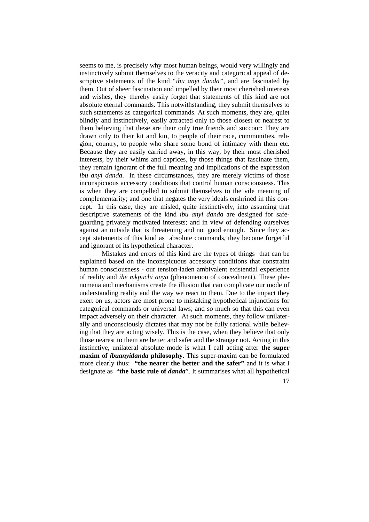seems to me, is precisely why most human beings, would very willingly and instinctively submit themselves to the veracity and categorical appeal of descriptive statements of the kind "*ibu anyi danda",* and are fascinated by them. Out of sheer fascination and impelled by their most cherished interests and wishes, they thereby easily forget that statements of this kind are not absolute eternal commands. This notwithstanding, they submit themselves to such statements as categorical commands. At such moments, they are, quiet blindly and instinctively, easily attracted only to those closest or nearest to them believing that these are their only true friends and succour: They are drawn only to their kit and kin, to people of their race, communities, religion, country, to people who share some bond of intimacy with them etc. Because they are easily carried away, in this way, by their most cherished interests, by their whims and caprices, by those things that fascinate them, they remain ignorant of the full meaning and implications of the expression *ibu anyi danda*. In these circumstances, they are merely victims of those inconspicuous accessory conditions that control human consciousness. This is when they are compelled to submit themselves to the vile meaning of complementarity; and one that negates the very ideals enshrined in this concept. In this case, they are misled, quite instinctively, into assuming that descriptive statements of the kind *ibu anyi danda* are designed for safeguarding privately motivated interests; and in view of defending ourselves against an outside that is threatening and not good enough. Since they accept statements of this kind as absolute commands, they become forgetful and ignorant of its hypothetical character.

Mistakes and errors of this kind are the types of things that can be explained based on the inconspicuous accessory conditions that constraint human consciousness - our tension-laden ambivalent existential experience of reality and *ihe mkpuchi anya* (phenomenon of concealment). These phenomena and mechanisms create the illusion that can complicate our mode of understanding reality and the way we react to them. Due to the impact they exert on us, actors are most prone to mistaking hypothetical injunctions for categorical commands or universal laws; and so much so that this can even impact adversely on their character. At such moments, they follow unilaterally and unconsciously dictates that may not be fully rational while believing that they are acting wisely. This is the case, when they believe that only those nearest to them are better and safer and the stranger not. Acting in this instinctive, unilateral absolute mode is what I call acting after **the super maxim of** *ibuanyidanda* **philosophy.** This super-maxim can be formulated more clearly thus: **"the nearer the better and the safer"** and it is what I designate as "**the basic rule of** *danda*". It summarises what all hypothetical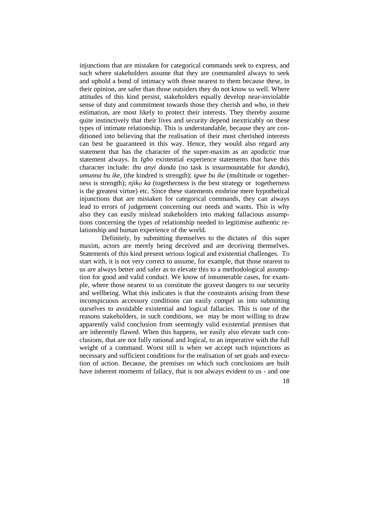injunctions that are mistaken for categorical commands seek to express, and such where stakeholders assume that they are commanded always to seek and uphold a bond of intimacy with those nearest to them because these, in their opinion, are safer than those outsiders they do not know so well. Where attitudes of this kind persist, stakeholders equally develop near-inviolable sense of duty and commitment towards those they cherish and who, in their estimation, are most likely to protect their interests. They thereby assume quite instinctively that their lives and security depend inextricably on these types of intimate relationship. This is understandable, because they are conditioned into believing that the realisation of their most cherished interests can best be guaranteed in this way. Hence, they would also regard any statement that has the character of the super-maxim as an apodictic true statement always. In *Igbo* existential experience statements that have this character include: *ibu anyi danda* (no task is insurmountable for *danda*), *umunna bu ike,* (the kindred is strength); *igwe bu ike* (multitude or togetherness is strength); *njikọ ka* (togetherness is the best strategy or togetherness is the greatest virtue) etc. Since these statements enshrine mere hypothetical injunctions that are mistaken for categorical commands, they can always lead to errors of judgement concerning our needs and wants. This is why also they can easily mislead stakeholders into making fallacious assumptions concerning the types of relationship needed to legitimise authentic relationship and human experience of the world.

Definitely, by submitting themselves to the dictates of this super maxim, actors are merely being deceived and are deceiving themselves. Statements of this kind present serious logical and existential challenges. To start with, it is not very correct to assume, for example, that those nearest to us are always better and safer as to elevate this to a methodological assumption for good and valid conduct. We know of innumerable cases, for example, where those nearest to us constitute the gravest dangers to our security and wellbeing. What this indicates is that the constraints arising from these inconspicuous accessory conditions can easily compel us into submitting ourselves to avoidable existential and logical fallacies. This is one of the reasons stakeholders, in such conditions, we may be most willing to draw apparently valid conclusion from seemingly valid existential premises that are inherently flawed. When this happens, we easily also elevate such conclusions, that are not fully rational and logical, to an imperative with the full weight of a command. Worst still is when we accept such injunctions as necessary and sufficient conditions for the realisation of set goals and execution of action. Because, the premises on which such conclusions are built have inherent moments of fallacy, that is not always evident to us - and one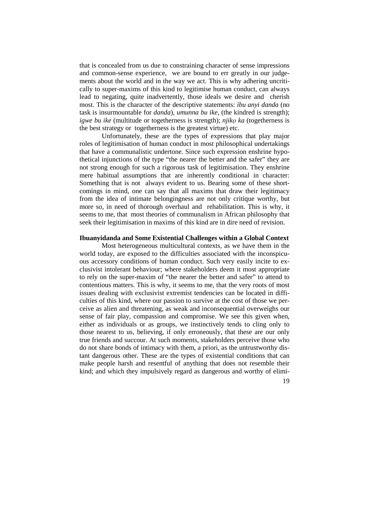that is concealed from us due to constraining character of sense impressions and common-sense experience, we are bound to err greatly in our judgements about the world and in the way we act. This is why adhering uncritically to super-maxims of this kind to legitimise human conduct, can always lead to negating, quite inadvertently, those ideals we desire and cherish most. This is the character of the descriptive statements: *ibu anyi danda* (no task is insurmountable for *danda*), *umunna bu ike,* (the kindred is strength); *igwe bu ike* (multitude or togetherness is strength); *njikọ ka* (togetherness is the best strategy or togetherness is the greatest virtue) etc.

Unfortunately, these are the types of expressions that play major roles of legitimisation of human conduct in most philosophical undertakings that have a communalistic undertone. Since such expression enshrine hypothetical injunctions of the type "the nearer the better and the safer" they are not strong enough for such a rigorous task of legitimisation. They enshrine mere habitual assumptions that are inherently conditional in character: Something that is not always evident to us. Bearing some of these shortcomings in mind, one can say that all maxims that draw their legitimacy from the idea of intimate belongingness are not only critique worthy, but more so, in need of thorough overhaul and rehabilitation. This is why, it seems to me, that most theories of communalism in African philosophy that seek their legitimisation in maxims of this kind are in dire need of revision.

#### **Ibuanyidanda and Some Existential Challenges within a Global Context**

Most heterogeneous multicultural contexts, as we have them in the world today, are exposed to the difficulties associated with the inconspicuous accessory conditions of human conduct. Such very easily incite to exclusivist intolerant behaviour; where stakeholders deem it most appropriate to rely on the super-maxim of "the nearer the better and safer" to attend to contentious matters. This is why, it seems to me, that the very roots of most issues dealing with exclusivist extremist tendencies can be located in difficulties of this kind, where our passion to survive at the cost of those we perceive as alien and threatening, as weak and inconsequential overweighs our sense of fair play, compassion and compromise. We see this given when, either as individuals or as groups, we instinctively tends to cling only to those nearest to us, believing, if only erroneously, that these are our only true friends and succour. At such moments, stakeholders perceive those who do not share bonds of intimacy with them, a priori, as the untrustworthy distant dangerous other. These are the types of existential conditions that can make people harsh and resentful of anything that does not resemble their kind; and which they impulsively regard as dangerous and worthy of elimi-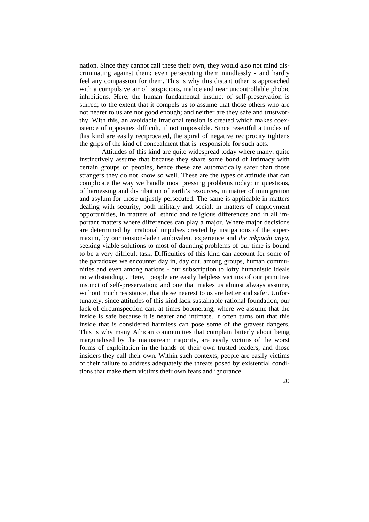nation. Since they cannot call these their own, they would also not mind discriminating against them; even persecuting them mindlessly - and hardly feel any compassion for them. This is why this distant other is approached with a compulsive air of suspicious, malice and near uncontrollable phobic inhibitions. Here, the human fundamental instinct of self-preservation is stirred; to the extent that it compels us to assume that those others who are not nearer to us are not good enough; and neither are they safe and trustworthy. With this, an avoidable irrational tension is created which makes coexistence of opposites difficult, if not impossible. Since resentful attitudes of this kind are easily reciprocated, the spiral of negative reciprocity tightens the grips of the kind of concealment that is responsible for such acts.

Attitudes of this kind are quite widespread today where many, quite instinctively assume that because they share some bond of intimacy with certain groups of peoples, hence these are automatically safer than those strangers they do not know so well. These are the types of attitude that can complicate the way we handle most pressing problems today; in questions, of harnessing and distribution of earth's resources, in matter of immigration and asylum for those unjustly persecuted. The same is applicable in matters dealing with security, both military and social; in matters of employment opportunities, in matters of ethnic and religious differences and in all important matters where differences can play a major. Where major decisions are determined by irrational impulses created by instigations of the supermaxim, by our tension-laden ambivalent experience and *ihe mkpuchi anya*, seeking viable solutions to most of daunting problems of our time is bound to be a very difficult task. Difficulties of this kind can account for some of the paradoxes we encounter day in, day out, among groups, human communities and even among nations - our subscription to lofty humanistic ideals notwithstanding . Here, people are easily helpless victims of our primitive instinct of self-preservation; and one that makes us almost always assume, without much resistance, that those nearest to us are better and safer. Unfortunately, since attitudes of this kind lack sustainable rational foundation, our lack of circumspection can, at times boomerang, where we assume that the inside is safe because it is nearer and intimate. It often turns out that this inside that is considered harmless can pose some of the gravest dangers. This is why many African communities that complain bitterly about being marginalised by the mainstream majority, are easily victims of the worst forms of exploitation in the hands of their own trusted leaders, and those insiders they call their own. Within such contexts, people are easily victims of their failure to address adequately the threats posed by existential conditions that make them victims their own fears and ignorance.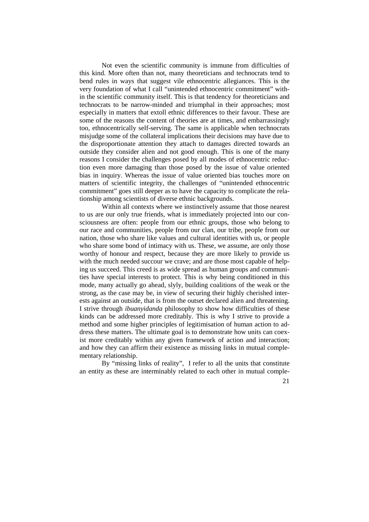Not even the scientific community is immune from difficulties of this kind. More often than not, many theoreticians and technocrats tend to bend rules in ways that suggest vile ethnocentric allegiances. This is the very foundation of what I call "unintended ethnocentric commitment" within the scientific community itself. This is that tendency for theoreticians and technocrats to be narrow-minded and triumphal in their approaches; most especially in matters that extoll ethnic differences to their favour. These are some of the reasons the content of theories are at times, and embarrassingly too, ethnocentrically self-serving. The same is applicable when technocrats misjudge some of the collateral implications their decisions may have due to the disproportionate attention they attach to damages directed towards an outside they consider alien and not good enough. This is one of the many reasons I consider the challenges posed by all modes of ethnocentric reduction even more damaging than those posed by the issue of value oriented bias in inquiry. Whereas the issue of value oriented bias touches more on matters of scientific integrity, the challenges of "unintended ethnocentric commitment" goes still deeper as to have the capacity to complicate the relationship among scientists of diverse ethnic backgrounds.

Within all contexts where we instinctively assume that those nearest to us are our only true friends, what is immediately projected into our consciousness are often: people from our ethnic groups, those who belong to our race and communities, people from our clan, our tribe, people from our nation, those who share like values and cultural identities with us, or people who share some bond of intimacy with us. These, we assume, are only those worthy of honour and respect, because they are more likely to provide us with the much needed succour we crave; and are those most capable of helping us succeed. This creed is as wide spread as human groups and communities have special interests to protect. This is why being conditioned in this mode, many actually go ahead, slyly, building coalitions of the weak or the strong, as the case may be, in view of securing their highly cherished interests against an outside, that is from the outset declared alien and threatening. I strive through *ibuanyidanda* philosophy to show how difficulties of these kinds can be addressed more creditably. This is why I strive to provide a method and some higher principles of legitimisation of human action to address these matters. The ultimate goal is to demonstrate how units can coexist more creditably within any given framework of action and interaction; and how they can affirm their existence as missing links in mutual complementary relationship.

By "missing links of reality", I refer to all the units that constitute an entity as these are interminably related to each other in mutual comple-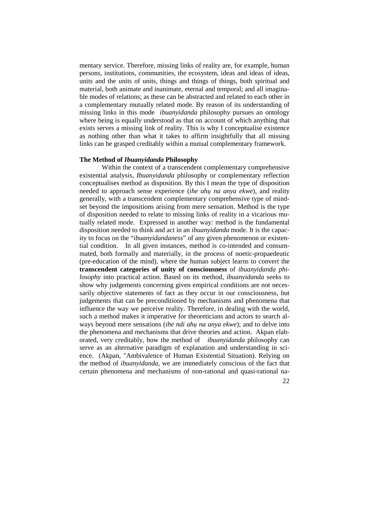mentary service. Therefore, missing links of reality are, for example, human persons, institutions, communities, the ecosystem, ideas and ideas of ideas, units and the units of units, things and things of things, both spiritual and material, both animate and inanimate, eternal and temporal; and all imaginable modes of relations; as these can be abstracted and related to each other in a complementary mutually related mode. By reason of its understanding of missing links in this mode *ibuanyidanda* philosophy pursues an ontology where being is equally understood as that on account of which anything that exists serves a missing link of reality. This is why I conceptualise existence as nothing other than what it takes to affirm insightfully that all missing links can be grasped creditably within a mutual complementary framework.

#### **The Method of** *Ibuanyidanda* **Philosophy**

Within the context of a transcendent complementary comprehensive existential analysis, *Ibuanyidanda* philosophy or complementary reflection conceptualises method as disposition. By this I mean the type of disposition needed to approach sense experience (*ihe ahụ na anya ekwe*), and reality generally, with a transcendent complementary comprehensive type of mindset beyond the impositions arising from mere sensation. Method is the type of disposition needed to relate to missing links of reality in a vicarious mutually related mode. Expressed in another way: method is the fundamental disposition needed to think and act in an *ibuanyidanda* mode. It is the capacity to focus on the "*ibuanyidandaness*" of any given phenomenon or existential condition. In all given instances, method is co-intended and consummated, both formally and materially, in the process of noetic-propaedeutic (pre-education of the mind), where the human subject learns to convert the **transcendent categories of unity of consciousness** of *ibuanyidanda philosophy* into practical action. Based on its method, *ibuanyidanda* seeks to show why judgements concerning given empirical conditions are not necessarily objective statements of fact as they occur in our consciousness, but judgements that can be preconditioned by mechanisms and phenomena that influence the way we perceive reality. Therefore, in dealing with the world, such a method makes it imperative for theoreticians and actors to search always beyond mere sensations *(ihe ndi ahu na anya ekwe)*; and to delve into the phenomena and mechanisms that drive theories and action. Akpan elaborated, very creditably, how the method of *ibuanyidanda* philosophy can serve as an alternative paradigm of explanation and understanding in science. (Akpan, "Ambivalence of Human Existential Situation). Relying on the method of *ibuanyidanda*, we are immediately conscious of the fact that certain phenomena and mechanisms of non-rational and quasi-rational na-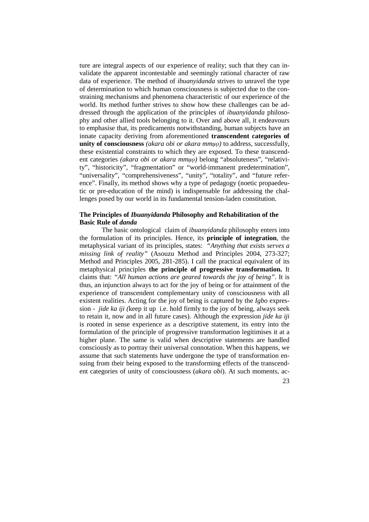ture are integral aspects of our experience of reality; such that they can invalidate the apparent incontestable and seemingly rational character of raw data of experience. The method of *ibuanyidanda* strives to unravel the type of determination to which human consciousness is subjected due to the constraining mechanisms and phenomena characteristic of our experience of the world. Its method further strives to show how these challenges can be addressed through the application of the principles of *ibuanyidanda* philosophy and other allied tools belonging to it. Over and above all, it endeavours to emphasise that, its predicaments notwithstanding, human subjects have an innate capacity deriving from aforementioned **transcendent categories of unity of consciousness** *(akara obi or akara mmụọ)* to address, successfully, these existential constraints to which they are exposed. To these transcendent categories *(akara obi or akara mmụọ)* belong "absoluteness", "relativity", "historicity", "fragmentation" or "world-immanent predetermination", "universality", "comprehensiveness", "unity", "totality", and "future reference". Finally, its method shows why a type of pedagogy (noetic propaedeutic or pre-education of the mind) is indispensable for addressing the challenges posed by our world in its fundamental tension-laden constitution.

# **The Principles of** *Ibuanyidanda* **Philosophy and Rehabilitation of the Basic Rule of** *danda*

The basic ontological claim of *ibuanyidanda* philosophy enters into the formulation of its principles. Hence, its **principle of integration**, the metaphysical variant of its principles, states: *"Anything that exists serves a missing link of reality"* (Asouzu Method and Principles 2004, 273-327; Method and Principles 2005, 281-285). I call the practical equivalent of its metaphysical principles **the principle of progressive transformation.** It claims that: *"All human actions are geared towards the joy of being"*. It is thus, an injunction always to act for the joy of being or for attainment of the experience of transcendent complementary unity of consciousness with all existent realities. Acting for the joy of being is captured by the *Igbo* expression - *jide ka iji (*keep it up i.e. hold firmly to the joy of being, always seek to retain it, now and in all future cases). Although the expression *jide ka iji* is rooted in sense experience as a descriptive statement, its entry into the formulation of the principle of progressive transformation legitimises it at a higher plane. The same is valid when descriptive statements are handled consciously as to portray their universal connotation. When this happens, we assume that such statements have undergone the type of transformation ensuing from their being exposed to the transforming effects of the transcendent categories of unity of consciousness (*akara obi*). At such moments, ac-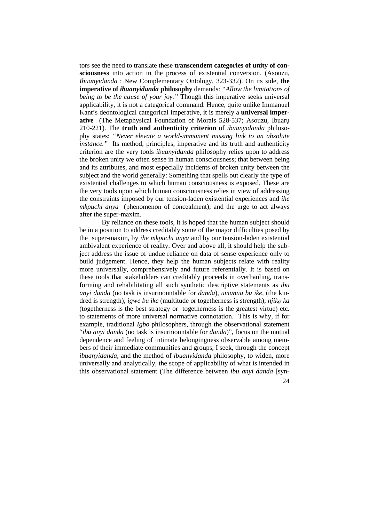tors see the need to translate these **transcendent categories of unity of consciousness** into action in the process of existential conversion. (Asouzu, *Ibuanyidanda* : New Complementary Ontology, 323-332). On its side, **the imperative of** *ibuanyidanda* **philosophy** demands: *"Allow the limitations of being to be the cause of your joy."* Though this imperative seeks universal applicability, it is not a categorical command. Hence, quite unlike Immanuel Kant's deontological categorical imperative, it is merely a **universal imperative** (The Metaphysical Foundation of Morals 528-537; Asouzu, Ibuarụ 210-221). The **truth and authenticity criterion** of *ibuanyidanda* philosophy states: *"Never elevate a world-immanent missing link to an absolute instance."* Its method, principles, imperative and its truth and authenticity criterion are the very tools *ibuanyidanda* philosophy relies upon to address the broken unity we often sense in human consciousness; that between being and its attributes, and most especially incidents of broken unity between the subject and the world generally: Something that spells out clearly the type of existential challenges to which human consciousness is exposed. These are the very tools upon which human consciousness relies in view of addressing the constraints imposed by our tension-laden existential experiences and *ihe mkpuchi anya* (phenomenon of concealment); and the urge to act always after the super-maxim.

By reliance on these tools, it is hoped that the human subject should be in a position to address creditably some of the major difficulties posed by the super-maxim, by *ihe mkpuchi anya* and by our tension-laden existential ambivalent experience of reality. Over and above all, it should help the subject address the issue of undue reliance on data of sense experience only to build judgement. Hence, they help the human subjects relate with reality more universally, comprehensively and future referentially. It is based on these tools that stakeholders can creditably proceeds in overhauling, transforming and rehabilitating all such synthetic descriptive statements as *ibu anyi danda* (no task is insurmountable for *danda*), *umunna bu ike,* (the kindred is strength); *igwe bu ike* (multitude or togetherness is strength); *njikọ ka* (togetherness is the best strategy or togetherness is the greatest virtue) etc. to statements of more universal normative connotation. This is why, if for example, traditional *Igbo* philosophers, through the observational statement "*ibu anyi danda* (no task is insurmountable for *danda*)", focus on the mutual dependence and feeling of intimate belongingness observable among members of their immediate communities and groups, I seek, through the concept *ibuanyidanda*, and the method of *ibuanyidanda* philosophy, to widen, more universally and analytically, the scope of applicability of what is intended in this observational statement (The difference between *ibu anyi danda* [syn-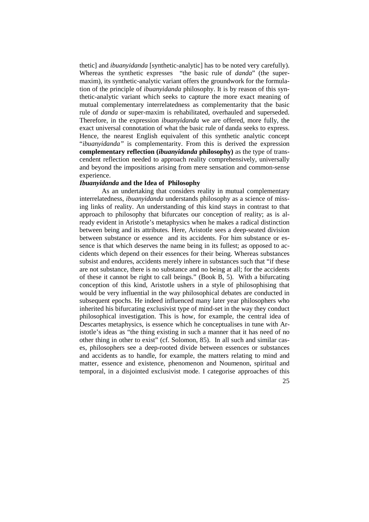thetic] and *ibuanyidanda* [synthetic-analytic] has to be noted very carefully). Whereas the synthetic expresses "the basic rule of *danda*" (the supermaxim), its synthetic-analytic variant offers the groundwork for the formulation of the principle of *ibuanyidanda* philosophy. It is by reason of this synthetic-analytic variant which seeks to capture the more exact meaning of mutual complementary interrelatedness as complementarity that the basic rule of *danda* or super-maxim is rehabilitated, overhauled and superseded. Therefore, in the expression *ibuanyidanda* we are offered, more fully, the exact universal connotation of what the basic rule of danda seeks to express. Hence, the nearest English equivalent of this synthetic analytic concept "*ibuanyidanda"* is complementarity. From this is derived the expression **complementary reflection (***ibuanyidanda* **philosophy)** as the type of transcendent reflection needed to approach reality comprehensively, universally and beyond the impositions arising from mere sensation and common-sense experience.

### *Ibuanyidanda* **and the Idea of Philosophy**

As an undertaking that considers reality in mutual complementary interrelatedness, *ibuanyidanda* understands philosophy as a science of missing links of reality. An understanding of this kind stays in contrast to that approach to philosophy that bifurcates our conception of reality; as is already evident in Aristotle's metaphysics when he makes a radical distinction between being and its attributes. Here, Aristotle sees a deep-seated division between substance or essence and its accidents. For him substance or essence is that which deserves the name being in its fullest; as opposed to accidents which depend on their essences for their being. Whereas substances subsist and endures, accidents merely inhere in substances such that "if these are not substance, there is no substance and no being at all; for the accidents of these it cannot be right to call beings." (Book B, 5). With a bifurcating conception of this kind, Aristotle ushers in a style of philosophising that would be very influential in the way philosophical debates are conducted in subsequent epochs. He indeed influenced many later year philosophers who inherited his bifurcating exclusivist type of mind-set in the way they conduct philosophical investigation. This is how, for example, the central idea of Descartes metaphysics, is essence which he conceptualises in tune with Aristotle's ideas as "the thing existing in such a manner that it has need of no other thing in other to exist" (cf. Solomon, 85). In all such and similar cases, philosophers see a deep-rooted divide between essences or substances and accidents as to handle, for example, the matters relating to mind and matter, essence and existence, phenomenon and Noumenon, spiritual and temporal, in a disjointed exclusivist mode. I categorise approaches of this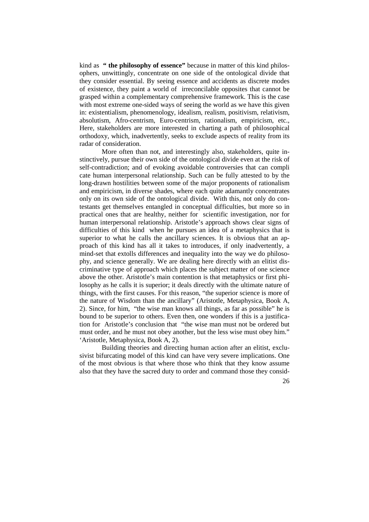kind as **" the philosophy of essence"** because in matter of this kind philosophers, unwittingly, concentrate on one side of the ontological divide that they consider essential. By seeing essence and accidents as discrete modes of existence, they paint a world of irreconcilable opposites that cannot be grasped within a complementary comprehensive framework. This is the case with most extreme one-sided ways of seeing the world as we have this given in: existentialism, phenomenology, idealism, realism, positivism, relativism, absolutism, Afro-centrism, Euro-centrism, rationalism, empiricism, etc., Here, stakeholders are more interested in charting a path of philosophical orthodoxy, which, inadvertently, seeks to exclude aspects of reality from its radar of consideration.

More often than not, and interestingly also, stakeholders, quite instinctively, pursue their own side of the ontological divide even at the risk of self-contradiction; and of evoking avoidable controversies that can compli cate human interpersonal relationship. Such can be fully attested to by the long-drawn hostilities between some of the major proponents of rationalism and empiricism, in diverse shades, where each quite adamantly concentrates only on its own side of the ontological divide. With this, not only do contestants get themselves entangled in conceptual difficulties, but more so in practical ones that are healthy, neither for scientific investigation, nor for human interpersonal relationship. Aristotle's approach shows clear signs of difficulties of this kind when he pursues an idea of a metaphysics that is superior to what he calls the ancillary sciences. It is obvious that an approach of this kind has all it takes to introduces, if only inadvertently, a mind-set that extolls differences and inequality into the way we do philosophy, and science generally. We are dealing here directly with an elitist discriminative type of approach which places the subject matter of one science above the other. Aristotle's main contention is that metaphysics or first philosophy as he calls it is superior; it deals directly with the ultimate nature of things, with the first causes. For this reason, "the superior science is more of the nature of Wisdom than the ancillary" (Aristotle, Metaphysica, Book A, 2). Since, for him, "the wise man knows all things, as far as possible" he is bound to be superior to others. Even then, one wonders if this is a justification for Aristotle's conclusion that "the wise man must not be ordered but must order, and he must not obey another, but the less wise must obey him." 'Aristotle, Metaphysica, Book A, 2).

Building theories and directing human action after an elitist, exclusivist bifurcating model of this kind can have very severe implications. One of the most obvious is that where those who think that they know assume also that they have the sacred duty to order and command those they consid-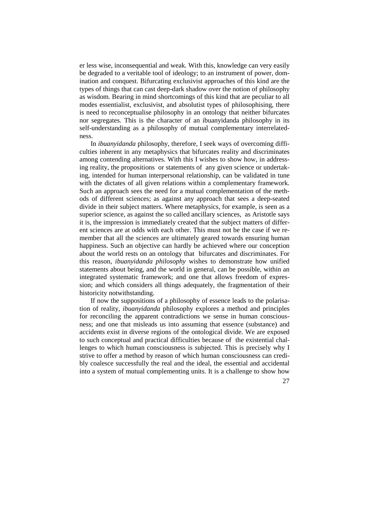er less wise, inconsequential and weak. With this, knowledge can very easily be degraded to a veritable tool of ideology; to an instrument of power, domination and conquest. Bifurcating exclusivist approaches of this kind are the types of things that can cast deep-dark shadow over the notion of philosophy as wisdom. Bearing in mind shortcomings of this kind that are peculiar to all modes essentialist, exclusivist, and absolutist types of philosophising, there is need to reconceptualise philosophy in an ontology that neither bifurcates nor segregates. This is the character of an ibuanyidanda philosophy in its self-understanding as a philosophy of mutual complementary interrelatedness.

In *ibuanyidanda* philosophy, therefore, I seek ways of overcoming difficulties inherent in any metaphysics that bifurcates reality and discriminates among contending alternatives. With this I wishes to show how, in addressing reality, the propositions or statements of any given science or undertaking, intended for human interpersonal relationship, can be validated in tune with the dictates of all given relations within a complementary framework. Such an approach sees the need for a mutual complementation of the methods of different sciences; as against any approach that sees a deep-seated divide in their subject matters. Where metaphysics, for example, is seen as a superior science, as against the so called ancillary sciences, as Aristotle says it is, the impression is immediately created that the subject matters of different sciences are at odds with each other. This must not be the case if we remember that all the sciences are ultimately geared towards ensuring human happiness. Such an objective can hardly be achieved where our conception about the world rests on an ontology that bifurcates and discriminates. For this reason, *ibuanyidanda philosophy* wishes to demonstrate how unified statements about being, and the world in general, can be possible, within an integrated systematic framework; and one that allows freedom of expression; and which considers all things adequately, the fragmentation of their historicity notwithstanding.

If now the suppositions of a philosophy of essence leads to the polarisation of reality, *ibuanyidanda* philosophy explores a method and principles for reconciling the apparent contradictions we sense in human consciousness; and one that misleads us into assuming that essence (substance) and accidents exist in diverse regions of the ontological divide. We are exposed to such conceptual and practical difficulties because of the existential challenges to which human consciousness is subjected. This is precisely why I strive to offer a method by reason of which human consciousness can credibly coalesce successfully the real and the ideal, the essential and accidental into a system of mutual complementing units. It is a challenge to show how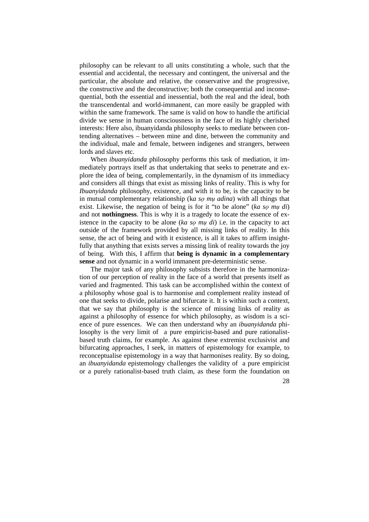philosophy can be relevant to all units constituting a whole, such that the essential and accidental, the necessary and contingent, the universal and the particular, the absolute and relative, the conservative and the progressive, the constructive and the deconstructive; both the consequential and inconsequential, both the essential and inessential, both the real and the ideal, both the transcendental and world-immanent, can more easily be grappled with within the same framework. The same is valid on how to handle the artificial divide we sense in human consciousness in the face of its highly cherished interests: Here also, ibuanyidanda philosophy seeks to mediate between contending alternatives – between mine and dine, between the community and the individual, male and female, between indigenes and strangers, between lords and slaves etc.

When *ibuanyidanda* philosophy performs this task of mediation, it immediately portrays itself as that undertaking that seeks to penetrate and explore the idea of being, complementarily, in the dynamism of its immediacy and considers all things that exist as missing links of reality. This is why for *Ibuanyidanda* philosophy, existence, and with it to be, is the capacity to be in mutual complementary relationship (k*a sọ mụ adina*) with all things that exist. Likewise, the negation of being is for it "to be alone" (*ka sọ mụ di*) and not **nothingness**. This is why it is a tragedy to locate the essence of existence in the capacity to be alone (*ka sọ mụ di*) i.e. in the capacity to act outside of the framework provided by all missing links of reality. In this sense, the act of being and with it existence, is all it takes to affirm insightfully that anything that exists serves a missing link of reality towards the joy of being. With this, I affirm that **being is dynamic in a complementary sense** and not dynamic in a world immanent pre-deterministic sense.

The major task of any philosophy subsists therefore in the harmonization of our perception of reality in the face of a world that presents itself as varied and fragmented. This task can be accomplished within the context of a philosophy whose goal is to harmonise and complement reality instead of one that seeks to divide, polarise and bifurcate it. It is within such a context, that we say that philosophy is the science of missing links of reality as against a philosophy of essence for which philosophy, as wisdom is a science of pure essences. We can then understand why an *ibuanyidanda* philosophy is the very limit of a pure empiricist-based and pure rationalistbased truth claims, for example. As against these extremist exclusivist and bifurcating approaches, I seek, in matters of epistemology for example, to reconceptualise epistemology in a way that harmonises reality. By so doing, an *ibuanyidanda* epistemology challenges the validity of a pure empiricist or a purely rationalist-based truth claim, as these form the foundation on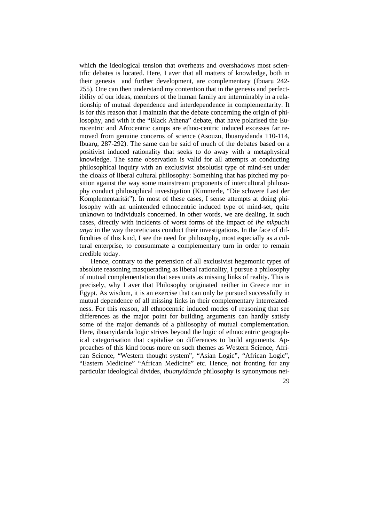which the ideological tension that overheats and overshadows most scientific debates is located. Here, I aver that all matters of knowledge, both in their genesis and further development, are complementary (Ibuarụ 242- 255). One can then understand my contention that in the genesis and perfectibility of our ideas, members of the human family are interminably in a relationship of mutual dependence and interdependence in complementarity. It is for this reason that I maintain that the debate concerning the origin of philosophy, and with it the "Black Athena" debate, that have polarised the Eurocentric and Afrocentric camps are ethno-centric induced excesses far removed from genuine concerns of science (Asouzu, Ibuanyidanda 110-114, Ibuarụ, 287-292). The same can be said of much of the debates based on a positivist induced rationality that seeks to do away with a metaphysical knowledge. The same observation is valid for all attempts at conducting philosophical inquiry with an exclusivist absolutist type of mind-set under the cloaks of liberal cultural philosophy: Something that has pitched my position against the way some mainstream proponents of intercultural philosophy conduct philosophical investigation (Kimmerle, "Die schwere Last der Komplementarität"). In most of these cases, I sense attempts at doing philosophy with an unintended ethnocentric induced type of mind-set, quite unknown to individuals concerned. In other words, we are dealing, in such cases, directly with incidents of worst forms of the impact of *ihe mkpuchi anya* in the way theoreticians conduct their investigations. In the face of difficulties of this kind, I see the need for philosophy, most especially as a cultural enterprise, to consummate a complementary turn in order to remain credible today.

Hence, contrary to the pretension of all exclusivist hegemonic types of absolute reasoning masquerading as liberal rationality, I pursue a philosophy of mutual complementation that sees units as missing links of reality. This is precisely, why I aver that Philosophy originated neither in Greece nor in Egypt. As wisdom, it is an exercise that can only be pursued successfully in mutual dependence of all missing links in their complementary interrelatedness. For this reason, all ethnocentric induced modes of reasoning that see differences as the major point for building arguments can hardly satisfy some of the major demands of a philosophy of mutual complementation. Here, ibuanyidanda logic strives beyond the logic of ethnocentric geographical categorisation that capitalise on differences to build arguments. Approaches of this kind focus more on such themes as Western Science, African Science, "Western thought system", "Asian Logic", "African Logic", "Eastern Medicine" "African Medicine" etc. Hence, not fronting for any particular ideological divides, *ibuanyidanda* philosophy is synonymous nei-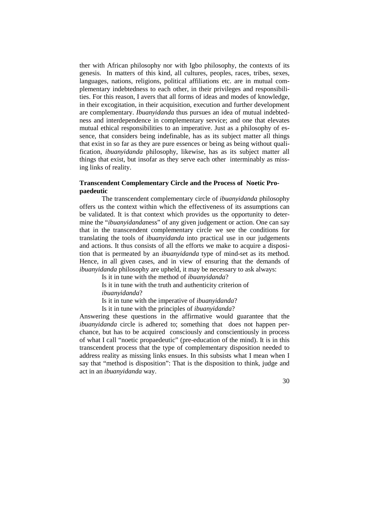ther with African philosophy nor with Igbo philosophy, the contexts of its genesis. In matters of this kind, all cultures, peoples, races, tribes, sexes, languages, nations, religions, political affiliations etc. are in mutual complementary indebtedness to each other, in their privileges and responsibilities. For this reason, I avers that all forms of ideas and modes of knowledge, in their excogitation, in their acquisition, execution and further development are complementary. *Ibuanyidanda* thus pursues an idea of mutual indebtedness and interdependence in complementary service; and one that elevates mutual ethical responsibilities to an imperative. Just as a philosophy of essence, that considers being indefinable, has as its subject matter all things that exist in so far as they are pure essences or being as being without qualification, *ibuanyidanda* philosophy, likewise, has as its subject matter all things that exist, but insofar as they serve each other interminably as missing links of reality.

## **Transcendent Complementary Circle and the Process of Noetic Propaedeutic**

The transcendent complementary circle of *ibuanyidanda* philosophy offers us the context within which the effectiveness of its assumptions can be validated. It is that context which provides us the opportunity to determine the "*ibuanyidanda*ness" of any given judgement or action. One can say that in the transcendent complementary circle we see the conditions for translating the tools of *ibuanyidanda* into practical use in our judgements and actions. It thus consists of all the efforts we make to acquire a disposition that is permeated by an *ibuanyidanda* type of mind-set as its method. Hence, in all given cases, and in view of ensuring that the demands of *ibuanyidanda* philosophy are upheld, it may be necessary to ask always:

Is it in tune with the method of *ibuanyidanda*? Is it in tune with the truth and authenticity criterion of *ibuanyidanda*?

Is it in tune with the imperative of *ibuanyidanda*?

Is it in tune with the principles of *ibuanyidanda*?

Answering these questions in the affirmative would guarantee that the *ibuanyidanda* circle is adhered to; something that does not happen perchance, but has to be acquired consciously and conscientiously in process of what I call "noetic propaedeutic" (pre-education of the mind). It is in this transcendent process that the type of complementary disposition needed to address reality as missing links ensues. In this subsists what I mean when I say that "method is disposition": That is the disposition to think, judge and act in an *ibuanyidanda* way.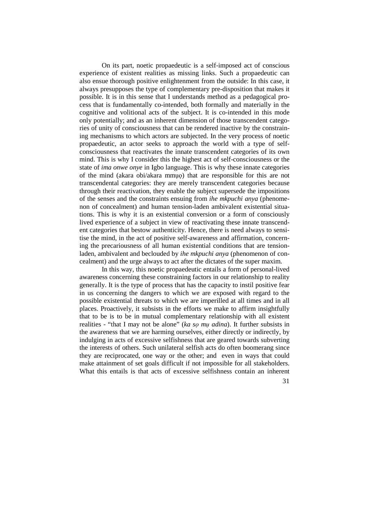On its part, noetic propaedeutic is a self-imposed act of conscious experience of existent realities as missing links. Such a propaedeutic can also ensue thorough positive enlightenment from the outside: In this case, it always presupposes the type of complementary pre-disposition that makes it possible. It is in this sense that I understands method as a pedagogical process that is fundamentally co-intended, both formally and materially in the cognitive and volitional acts of the subject. It is co-intended in this mode only potentially; and as an inherent dimension of those transcendent categories of unity of consciousness that can be rendered inactive by the constraining mechanisms to which actors are subjected. In the very process of noetic propaedeutic, an actor seeks to approach the world with a type of selfconsciousness that reactivates the innate transcendent categories of its own mind. This is why I consider this the highest act of self-consciousness or the state of *ima onwe onye* in Igbo language. This is why these innate categories of the mind (akara obi/akara mmụọ) that are responsible for this are not transcendental categories: they are merely transcendent categories because through their reactivation, they enable the subject supersede the impositions of the senses and the constraints ensuing from *ihe mkpuchi anya* (phenomenon of concealment) and human tension-laden ambivalent existential situations. This is why it is an existential conversion or a form of consciously lived experience of a subject in view of reactivating these innate transcendent categories that bestow authenticity. Hence, there is need always to sensitise the mind, in the act of positive self-awareness and affirmation, concerning the precariousness of all human existential conditions that are tensionladen, ambivalent and beclouded by *ihe mkpuchi anya* (phenomenon of concealment) and the urge always to act after the dictates of the super maxim.

In this way, this noetic propaedeutic entails a form of personal-lived awareness concerning these constraining factors in our relationship to reality generally. It is the type of process that has the capacity to instil positive fear in us concerning the dangers to which we are exposed with regard to the possible existential threats to which we are imperilled at all times and in all places. Proactively, it subsists in the efforts we make to affirm insightfully that to be is to be in mutual complementary relationship with all existent realities - "that I may not be alone" (*ka sọ mụ adina*). It further subsists in the awareness that we are harming ourselves, either directly or indirectly, by indulging in acts of excessive selfishness that are geared towards subverting the interests of others. Such unilateral selfish acts do often boomerang since they are reciprocated, one way or the other; and even in ways that could make attainment of set goals difficult if not impossible for all stakeholders. What this entails is that acts of excessive selfishness contain an inherent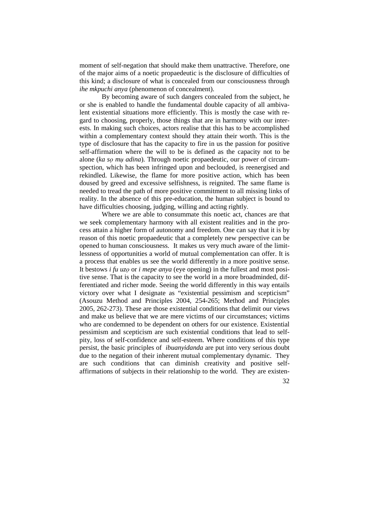moment of self-negation that should make them unattractive. Therefore, one of the major aims of a noetic propaedeutic is the disclosure of difficulties of this kind; a disclosure of what is concealed from our consciousness through *ihe mkpuchi anya* (phenomenon of concealment).

By becoming aware of such dangers concealed from the subject, he or she is enabled to handle the fundamental double capacity of all ambivalent existential situations more efficiently. This is mostly the case with regard to choosing, properly, those things that are in harmony with our interests. In making such choices, actors realise that this has to be accomplished within a complementary context should they attain their worth. This is the type of disclosure that has the capacity to fire in us the passion for positive self-affirmation where the will to be is defined as the capacity not to be alone (*ka sọ mụ adina*). Through noetic propaedeutic, our power of circumspection, which has been infringed upon and beclouded, is reenergised and rekindled. Likewise, the flame for more positive action, which has been doused by greed and excessive selfishness, is reignited. The same flame is needed to tread the path of more positive commitment to all missing links of reality. In the absence of this pre-education, the human subject is bound to have difficulties choosing, judging, willing and acting rightly.

Where we are able to consummate this noetic act, chances are that we seek complementary harmony with all existent realities and in the process attain a higher form of autonomy and freedom. One can say that it is by reason of this noetic propaedeutic that a completely new perspective can be opened to human consciousness. It makes us very much aware of the limitlessness of opportunities a world of mutual complementation can offer. It is a process that enables us see the world differently in a more positive sense. It bestows *i fu uzọ* or *i mepe anya* (eye opening) in the fullest and most positive sense. That is the capacity to see the world in a more broadminded, differentiated and richer mode. Seeing the world differently in this way entails victory over what I designate as "existential pessimism and scepticism" (Asouzu Method and Principles 2004, 254-265; Method and Principles 2005, 262-273). These are those existential conditions that delimit our views and make us believe that we are mere victims of our circumstances; victims who are condemned to be dependent on others for our existence. Existential pessimism and scepticism are such existential conditions that lead to selfpity, loss of self-confidence and self-esteem. Where conditions of this type persist, the basic principles of *ibuanyidanda* are put into very serious doubt due to the negation of their inherent mutual complementary dynamic. They are such conditions that can diminish creativity and positive selfaffirmations of subjects in their relationship to the world. They are existen-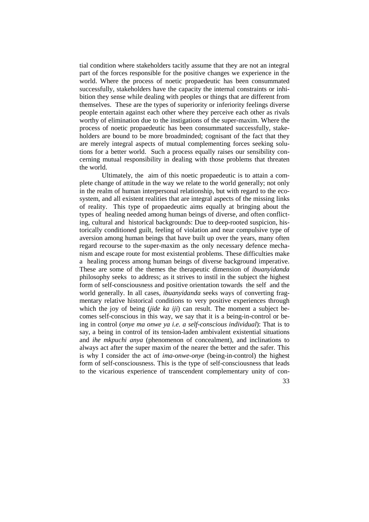tial condition where stakeholders tacitly assume that they are not an integral part of the forces responsible for the positive changes we experience in the world. Where the process of noetic propaedeutic has been consummated successfully, stakeholders have the capacity the internal constraints or inhibition they sense while dealing with peoples or things that are different from themselves. These are the types of superiority or inferiority feelings diverse people entertain against each other where they perceive each other as rivals worthy of elimination due to the instigations of the super-maxim. Where the process of noetic propaedeutic has been consummated successfully, stakeholders are bound to be more broadminded; cognisant of the fact that they are merely integral aspects of mutual complementing forces seeking solutions for a better world. Such a process equally raises our sensibility concerning mutual responsibility in dealing with those problems that threaten the world.

Ultimately, the aim of this noetic propaedeutic is to attain a complete change of attitude in the way we relate to the world generally; not only in the realm of human interpersonal relationship, but with regard to the ecosystem, and all existent realities that are integral aspects of the missing links of reality. This type of propaedeutic aims equally at bringing about the types of healing needed among human beings of diverse, and often conflicting, cultural and historical backgrounds: Due to deep-rooted suspicion, historically conditioned guilt, feeling of violation and near compulsive type of aversion among human beings that have built up over the years, many often regard recourse to the super-maxim as the only necessary defence mechanism and escape route for most existential problems. These difficulties make a healing process among human beings of diverse background imperative. These are some of the themes the therapeutic dimension of *ibuanyidanda* philosophy seeks to address; as it strives to instil in the subject the highest form of self-consciousness and positive orientation towards the self and the world generally. In all cases, *ibuanyidanda* seeks ways of converting fragmentary relative historical conditions to very positive experiences through which the joy of being (*jide ka iji*) can result. The moment a subject becomes self-conscious in this way, we say that it is a being-in-control or being in control (*onye ma onwe ya i.e. a self-conscious individual*): That is to say, a being in control of its tension-laden ambivalent existential situations and *ihe mkpuchi anya* (phenomenon of concealment), and inclinations to always act after the super maxim of the nearer the better and the safer*.* This is why I consider the act of *ima-onwe-onye* (being-in-control) the highest form of self-consciousness. This is the type of self-consciousness that leads to the vicarious experience of transcendent complementary unity of con-